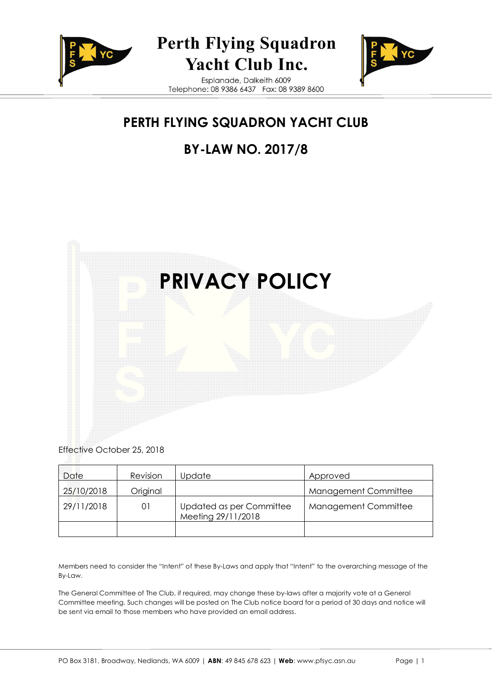

# **Perth Flying Squadron** Yacht Club Inc.

Esplanade, Dalkeith 6009 Telephone: 08 9386 6437 Fax: 08 9389 8600



# **PERTH FLYING SQUADRON YACHT CLUB**

# **BY-LAW NO. 2017/8**



Effective October 25, 2018

| Date       | <b>Revision</b> | Jpdate                                         | Approved             |
|------------|-----------------|------------------------------------------------|----------------------|
| 25/10/2018 | Original        |                                                | Management Committee |
| 29/11/2018 | 01              | Updated as per Committee<br>Meeting 29/11/2018 | Management Committee |
|            |                 |                                                |                      |

Members need to consider the "Intent" of these By-Laws and apply that "Intent" to the overarching message of the By-Law.

The General Committee of The Club, if required, may change these by-laws after a majority vote at a General Committee meeting. Such changes will be posted on The Club notice board for a period of 30 days and notice will be sent via email to those members who have provided an email address.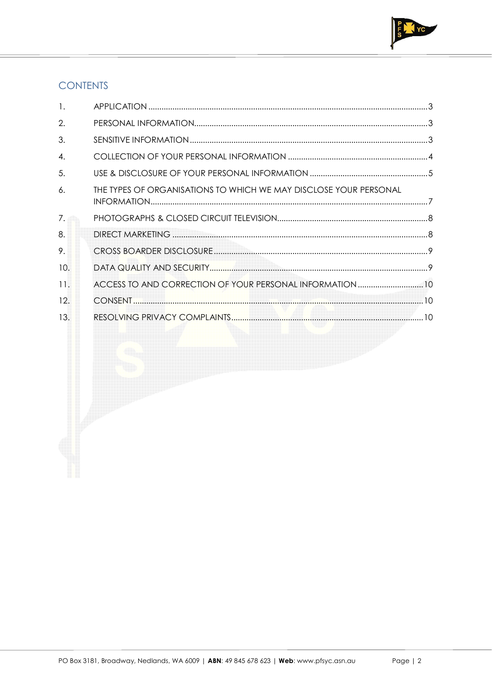

# **CONTENTS**

| 1.             |                                                                   |  |
|----------------|-------------------------------------------------------------------|--|
| 2.             |                                                                   |  |
| 3.             |                                                                   |  |
| $\mathbf{A}$ . |                                                                   |  |
| 5.             |                                                                   |  |
| $\epsilon$ .   | THE TYPES OF ORGANISATIONS TO WHICH WE MAY DISCLOSE YOUR PERSONAL |  |
| 7.             |                                                                   |  |
| 8.             |                                                                   |  |
| 9.             |                                                                   |  |
| 10.            |                                                                   |  |
| 11.            | ACCESS TO AND CORRECTION OF YOUR PERSONAL INFORMATION  10         |  |
| 12.            |                                                                   |  |
| 13.            |                                                                   |  |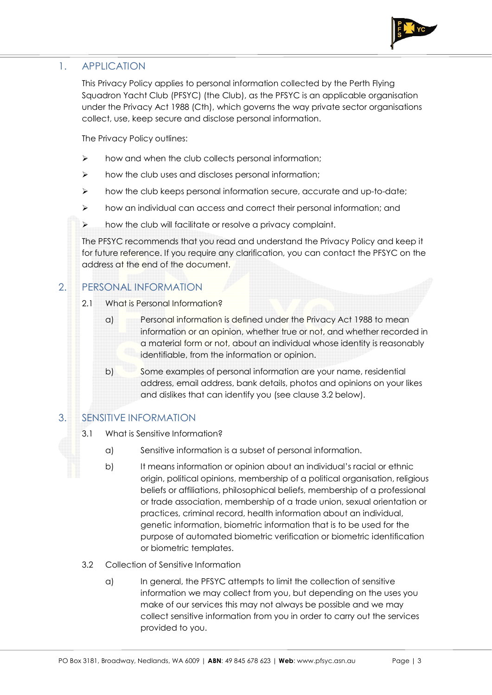

## 1. APPLICATION

This Privacy Policy applies to personal information collected by the Perth Flying Squadron Yacht Club (PFSYC) (the Club), as the PFSYC is an applicable organisation under the Privacy Act 1988 (Cth), which governs the way private sector organisations collect, use, keep secure and disclose personal information.

The Privacy Policy outlines:

- $\triangleright$  how and when the club collects personal information;
- $\triangleright$  how the club uses and discloses personal information;
- $\triangleright$  how the club keeps personal information secure, accurate and up-to-date;
- $\triangleright$  how an individual can access and correct their personal information; and
- $\triangleright$  how the club will facilitate or resolve a privacy complaint.

The PFSYC recommends that you read and understand the Privacy Policy and keep it for future reference. If you require any clarification, you can contact the PFSYC on the address at the end of the document.

## 2. PERSONAL INFORMATION

- 2.1 What is Personal Information?
	- a) Personal information is defined under the Privacy Act 1988 to mean information or an opinion, whether true or not, and whether recorded in a material form or not, about an individual whose identity is reasonably identifiable, from the information or opinion.
	- b) Some examples of personal information are your name, residential address, email address, bank details, photos and opinions on your likes and dislikes that can identify you (see clause 3.2 below).

## 3. SENSITIVE INFORMATION

- 3.1 What is Sensitive Information?
	- a) Sensitive information is a subset of personal information.
	- b) It means information or opinion about an individual's racial or ethnic origin, political opinions, membership of a political organisation, religious beliefs or affiliations, philosophical beliefs, membership of a professional or trade association, membership of a trade union, sexual orientation or practices, criminal record, health information about an individual, genetic information, biometric information that is to be used for the purpose of automated biometric verification or biometric identification or biometric templates.
- 3.2 Collection of Sensitive Information
	- a) In general, the PFSYC attempts to limit the collection of sensitive information we may collect from you, but depending on the uses you make of our services this may not always be possible and we may collect sensitive information from you in order to carry out the services provided to you.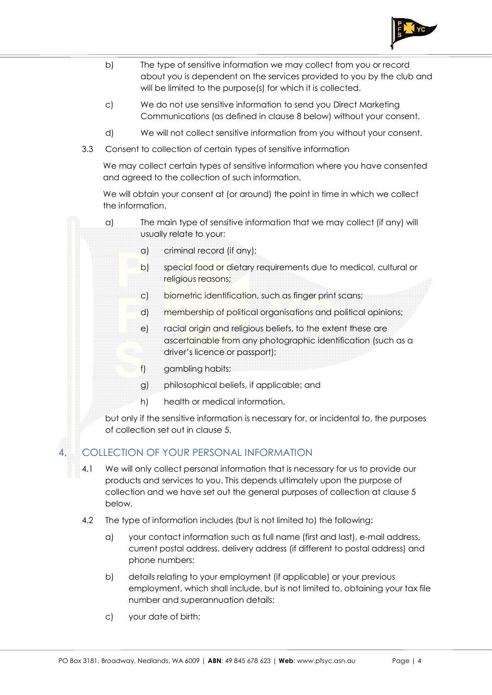

- b) The type of sensitive information we may collect from you or record about you is dependent on the services provided to you by the club and will be limited to the purpose(s) for which it is collected.
- c) We do not use sensitive information to send you Direct Marketing Communications (as defined in clause 8 below) without your consent.
- d) We will not collect sensitive information from you without your consent.
- 3.3 Consent to collection of certain types of sensitive information

We may collect certain types of sensitive information where you have consented and agreed to the collection of such information.

We will obtain your consent at (or around) the point in time in which we collect the information.

- a) The main type of sensitive information that we may collect (if any) will usually relate to your:
	- a) criminal record (if any);
	- b) special food or dietary requirements due to medical, cultural or religious reasons;
	- c) biometric identification, such as finger print scans;
	- d) membership of political organisations and political opinions;
	- e) racial origin and religious beliefs, to the extent these are ascertainable from any photographic identification (such as a driver's licence or passport);
	- f) gambling habits;
	- g) philosophical beliefs, if applicable; and
	- h) health or medical information,

but only if the sensitive information is necessary for, or incidental to, the purposes of collection set out in clause 5.

#### 4. COLLECTION OF YOUR PERSONAL INFORMATION

- 4.1 We will only collect personal information that is necessary for us to provide our products and services to you. This depends ultimately upon the purpose of collection and we have set out the general purposes of collection at clause 5 below.
- 4.2 The type of information includes (but is not limited to) the following:
	- a) your contact information such as full name (first and last), e-mail address, current postal address, delivery address (if different to postal address) and phone numbers;
	- b) details relating to your employment (if applicable) or your previous employment, which shall include, but is not limited to, obtaining your tax file number and superannuation details;
	- c) your date of birth;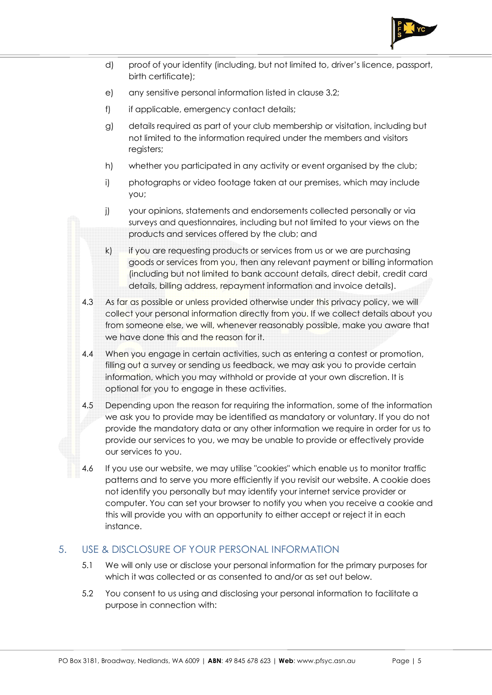

- d) proof of your identity (including, but not limited to, driver's licence, passport, birth certificate);
- e) any sensitive personal information listed in clause 3.2;
- f) if applicable, emergency contact details;
- g) details required as part of your club membership or visitation, including but not limited to the information required under the members and visitors registers;
- h) whether you participated in any activity or event organised by the club;
- i) photographs or video footage taken at our premises, which may include you;
- j) your opinions, statements and endorsements collected personally or via surveys and questionnaires, including but not limited to your views on the products and services offered by the club; and
- k) if you are requesting products or services from us or we are purchasing goods or services from you, then any relevant payment or billing information (including but not limited to bank account details, direct debit, credit card details, billing address, repayment information and invoice details).
- 4.3 As far as possible or unless provided otherwise under this privacy policy, we will collect your personal information directly from you. If we collect details about you from someone else, we will, whenever reasonably possible, make you aware that we have done this and the reason for it.
- 4.4 When you engage in certain activities, such as entering a contest or promotion, filling out a survey or sending us feedback, we may ask you to provide certain information, which you may withhold or provide at your own discretion. It is optional for you to engage in these activities.
- 4.5 Depending upon the reason for requiring the information, some of the information we ask you to provide may be identified as mandatory or voluntary. If you do not provide the mandatory data or any other information we require in order for us to provide our services to you, we may be unable to provide or effectively provide our services to you.
- 4.6 If you use our website, we may utilise "cookies" which enable us to monitor traffic patterns and to serve you more efficiently if you revisit our website. A cookie does not identify you personally but may identify your internet service provider or computer. You can set your browser to notify you when you receive a cookie and this will provide you with an opportunity to either accept or reject it in each instance.

#### 5. USE & DISCLOSURE OF YOUR PERSONAL INFORMATION

- 5.1 We will only use or disclose your personal information for the primary purposes for which it was collected or as consented to and/or as set out below.
- 5.2 You consent to us using and disclosing your personal information to facilitate a purpose in connection with: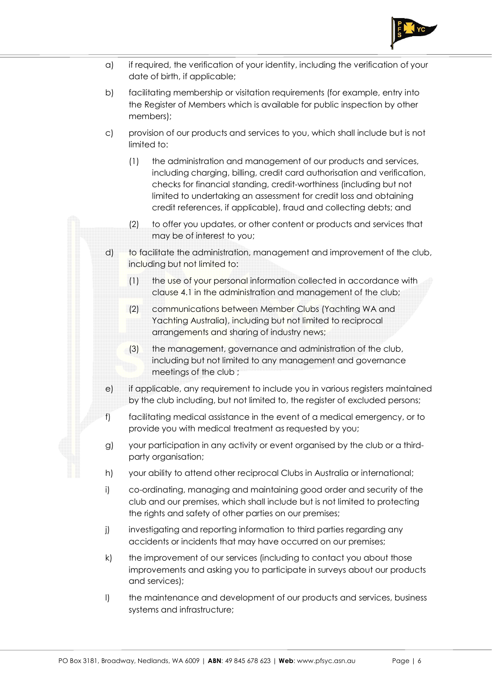

- a) if required, the verification of your identity, including the verification of your date of birth, if applicable;
- b) facilitating membership or visitation requirements (for example, entry into the Register of Members which is available for public inspection by other members);
- c) provision of our products and services to you, which shall include but is not limited to:
	- (1) the administration and management of our products and services, including charging, billing, credit card authorisation and verification, checks for financial standing, credit-worthiness (including but not limited to undertaking an assessment for credit loss and obtaining credit references, if applicable), fraud and collecting debts; and
	- (2) to offer you updates, or other content or products and services that may be of interest to you;
- d) to facilitate the administration, management and improvement of the club, including but not limited to:
	- (1) the use of your personal information collected in accordance with clause 4.1 in the administration and management of the club;
	- (2) communications between Member Clubs (Yachting WA and Yachting Australia), including but not limited to reciprocal arrangements and sharing of industry news;
	- (3) the management, governance and administration of the club, including but not limited to any management and governance meetings of the club ;
- e) if applicable, any requirement to include you in various registers maintained by the club including, but not limited to, the register of excluded persons;
- f) facilitating medical assistance in the event of a medical emergency, or to provide you with medical treatment as requested by you;
- g) your participation in any activity or event organised by the club or a thirdparty organisation;
- h) your ability to attend other reciprocal Clubs in Australia or international;
- i) co-ordinating, managing and maintaining good order and security of the club and our premises, which shall include but is not limited to protecting the rights and safety of other parties on our premises;
- j) investigating and reporting information to third parties regarding any accidents or incidents that may have occurred on our premises;
- k) the improvement of our services (including to contact you about those improvements and asking you to participate in surveys about our products and services);
- l) the maintenance and development of our products and services, business systems and infrastructure;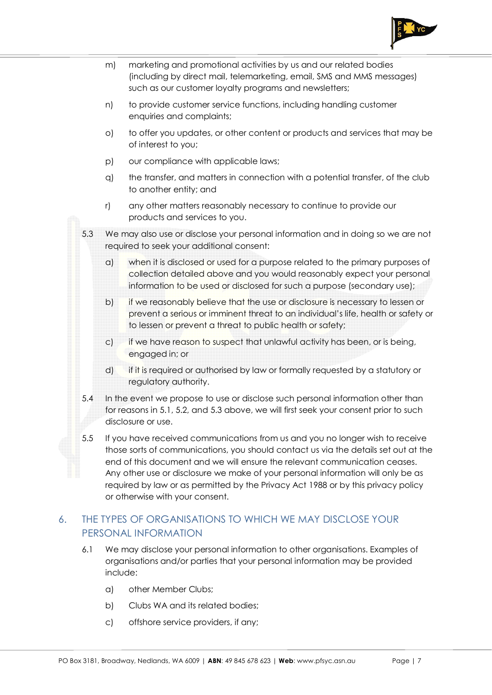

- m) marketing and promotional activities by us and our related bodies (including by direct mail, telemarketing, email, SMS and MMS messages) such as our customer loyalty programs and newsletters;
- n) to provide customer service functions, including handling customer enquiries and complaints;
- o) to offer you updates, or other content or products and services that may be of interest to you;
- p) our compliance with applicable laws;
- q) the transfer, and matters in connection with a potential transfer, of the club to another entity; and
- r) any other matters reasonably necessary to continue to provide our products and services to you.
- 5.3 We may also use or disclose your personal information and in doing so we are not required to seek your additional consent:
	- a) when it is disclosed or used for a purpose related to the primary purposes of collection detailed above and you would reasonably expect your personal information to be used or disclosed for such a purpose (secondary use);
	- b) if we reasonably believe that the use or disclosure is necessary to lessen or prevent a serious or imminent threat to an individual's life, health or safety or to lessen or prevent a threat to public health or safety;
	- c) if we have reason to suspect that unlawful activity has been, or is being, engaged in; or
	- d) if it is required or authorised by law or formally requested by a statutory or regulatory authority.
- 5.4 In the event we propose to use or disclose such personal information other than for reasons in 5.1, 5.2, and 5.3 above, we will first seek your consent prior to such disclosure or use.
- 5.5 If you have received communications from us and you no longer wish to receive those sorts of communications, you should contact us via the details set out at the end of this document and we will ensure the relevant communication ceases. Any other use or disclosure we make of your personal information will only be as required by law or as permitted by the Privacy Act 1988 or by this privacy policy or otherwise with your consent.

## 6. THE TYPES OF ORGANISATIONS TO WHICH WE MAY DISCLOSE YOUR PERSONAL INFORMATION

- 6.1 We may disclose your personal information to other organisations. Examples of organisations and/or parties that your personal information may be provided include:
	- a) other Member Clubs;
	- b) Clubs WA and its related bodies;
	- c) offshore service providers, if any;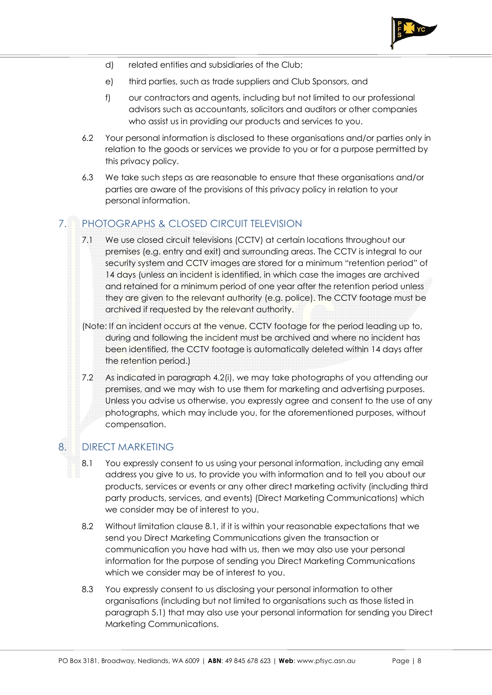

- d) related entities and subsidiaries of the Club;
- e) third parties, such as trade suppliers and Club Sponsors, and
- f) our contractors and agents, including but not limited to our professional advisors such as accountants, solicitors and auditors or other companies who assist us in providing our products and services to you.
- 6.2 Your personal information is disclosed to these organisations and/or parties only in relation to the goods or services we provide to you or for a purpose permitted by this privacy policy.
- 6.3 We take such steps as are reasonable to ensure that these organisations and/or parties are aware of the provisions of this privacy policy in relation to your personal information.

## 7. PHOTOGRAPHS & CLOSED CIRCUIT TELEVISION

- 7.1 We use closed circuit televisions (CCTV) at certain locations throughout our premises (e.g. entry and exit) and surrounding areas. The CCTV is integral to our security system and CCTV images are stored for a minimum "retention period" of 14 days (unless an incident is identified, in which case the images are archived and retained for a minimum period of one year after the retention period unless they are given to the relevant authority (e.g. police). The CCTV footage must be archived if requested by the relevant authority.
- (Note: If an incident occurs at the venue, CCTV footage for the period leading up to, during and following the incident must be archived and where no incident has been identified, the CCTV footage is automatically deleted within 14 days after the retention period.)
- 7.2 As indicated in paragraph 4.2(i), we may take photographs of you attending our premises, and we may wish to use them for marketing and advertising purposes. Unless you advise us otherwise, you expressly agree and consent to the use of any photographs, which may include you, for the aforementioned purposes, without compensation.

#### 8. DIRECT MARKETING

- 8.1 You expressly consent to us using your personal information, including any email address you give to us, to provide you with information and to tell you about our products, services or events or any other direct marketing activity (including third party products, services, and events) (Direct Marketing Communications) which we consider may be of interest to you.
- 8.2 Without limitation clause 8.1, if it is within your reasonable expectations that we send you Direct Marketing Communications given the transaction or communication you have had with us, then we may also use your personal information for the purpose of sending you Direct Marketing Communications which we consider may be of interest to you.
- 8.3 You expressly consent to us disclosing your personal information to other organisations (including but not limited to organisations such as those listed in paragraph 5.1) that may also use your personal information for sending you Direct Marketing Communications.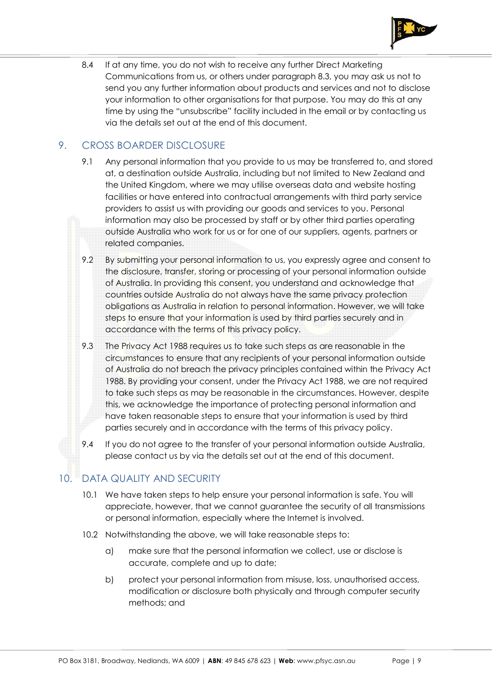

8.4 If at any time, you do not wish to receive any further Direct Marketing Communications from us, or others under paragraph 8.3, you may ask us not to send you any further information about products and services and not to disclose your information to other organisations for that purpose. You may do this at any time by using the "unsubscribe" facility included in the email or by contacting us via the details set out at the end of this document.

## 9. CROSS BOARDER DISCLOSURE

- 9.1 Any personal information that you provide to us may be transferred to, and stored at, a destination outside Australia, including but not limited to New Zealand and the United Kingdom, where we may utilise overseas data and website hosting facilities or have entered into contractual arrangements with third party service providers to assist us with providing our goods and services to you. Personal information may also be processed by staff or by other third parties operating outside Australia who work for us or for one of our suppliers, agents, partners or related companies.
- 9.2 By submitting your personal information to us, you expressly agree and consent to the disclosure, transfer, storing or processing of your personal information outside of Australia. In providing this consent, you understand and acknowledge that countries outside Australia do not always have the same privacy protection obligations as Australia in relation to personal information. However, we will take steps to ensure that your information is used by third parties securely and in accordance with the terms of this privacy policy.
- 9.3 The Privacy Act 1988 requires us to take such steps as are reasonable in the circumstances to ensure that any recipients of your personal information outside of Australia do not breach the privacy principles contained within the Privacy Act 1988. By providing your consent, under the Privacy Act 1988, we are not required to take such steps as may be reasonable in the circumstances. However, despite this, we acknowledge the importance of protecting personal information and have taken reasonable steps to ensure that your information is used by third parties securely and in accordance with the terms of this privacy policy.
- 9.4 If you do not agree to the transfer of your personal information outside Australia, please contact us by via the details set out at the end of this document.

#### 10. DATA QUALITY AND SECURITY

- 10.1 We have taken steps to help ensure your personal information is safe. You will appreciate, however, that we cannot guarantee the security of all transmissions or personal information, especially where the Internet is involved.
- 10.2 Notwithstanding the above, we will take reasonable steps to:
	- a) make sure that the personal information we collect, use or disclose is accurate, complete and up to date;
	- b) protect your personal information from misuse, loss, unauthorised access, modification or disclosure both physically and through computer security methods; and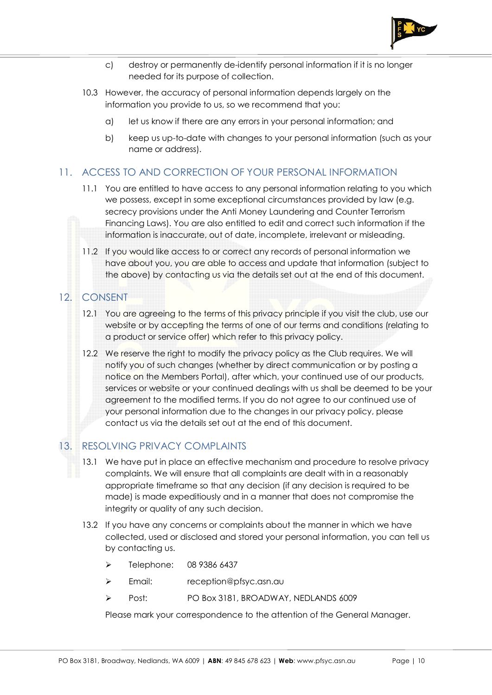

- c) destroy or permanently de-identify personal information if it is no longer needed for its purpose of collection.
- 10.3 However, the accuracy of personal information depends largely on the information you provide to us, so we recommend that you:
	- a) let us know if there are any errors in your personal information; and
	- b) keep us up-to-date with changes to your personal information (such as your name or address).

### 11. ACCESS TO AND CORRECTION OF YOUR PERSONAL INFORMATION

- 11.1 You are entitled to have access to any personal information relating to you which we possess, except in some exceptional circumstances provided by law (e.g. secrecy provisions under the Anti Money Laundering and Counter Terrorism Financing Laws). You are also entitled to edit and correct such information if the information is inaccurate, out of date, incomplete, irrelevant or misleading.
- 11.2 If you would like access to or correct any records of personal information we have about you, you are able to access and update that information (subject to the above) by contacting us via the details set out at the end of this document.

## 12. CONSENT

- 12.1 You are agreeing to the terms of this privacy principle if you visit the club, use our website or by accepting the terms of one of our terms and conditions (relating to a product or service offer) which refer to this privacy policy.
- 12.2 We reserve the right to modify the privacy policy as the Club requires. We will notify you of such changes (whether by direct communication or by posting a notice on the Members Portal), after which, your continued use of our products, services or website or your continued dealings with us shall be deemed to be your agreement to the modified terms. If you do not agree to our continued use of your personal information due to the changes in our privacy policy, please contact us via the details set out at the end of this document.

#### 13. RESOLVING PRIVACY COMPLAINTS

- 13.1 We have put in place an effective mechanism and procedure to resolve privacy complaints. We will ensure that all complaints are dealt with in a reasonably appropriate timeframe so that any decision (if any decision is required to be made) is made expeditiously and in a manner that does not compromise the integrity or quality of any such decision.
- 13.2 If you have any concerns or complaints about the manner in which we have collected, used or disclosed and stored your personal information, you can tell us by contacting us.
	- Telephone: 08 9386 6437
	- > Email: reception@pfsyc.asn.au
	- ÿ Post: PO Box 3181, BROADWAY, NEDLANDS 6009

Please mark your correspondence to the attention of the General Manager.